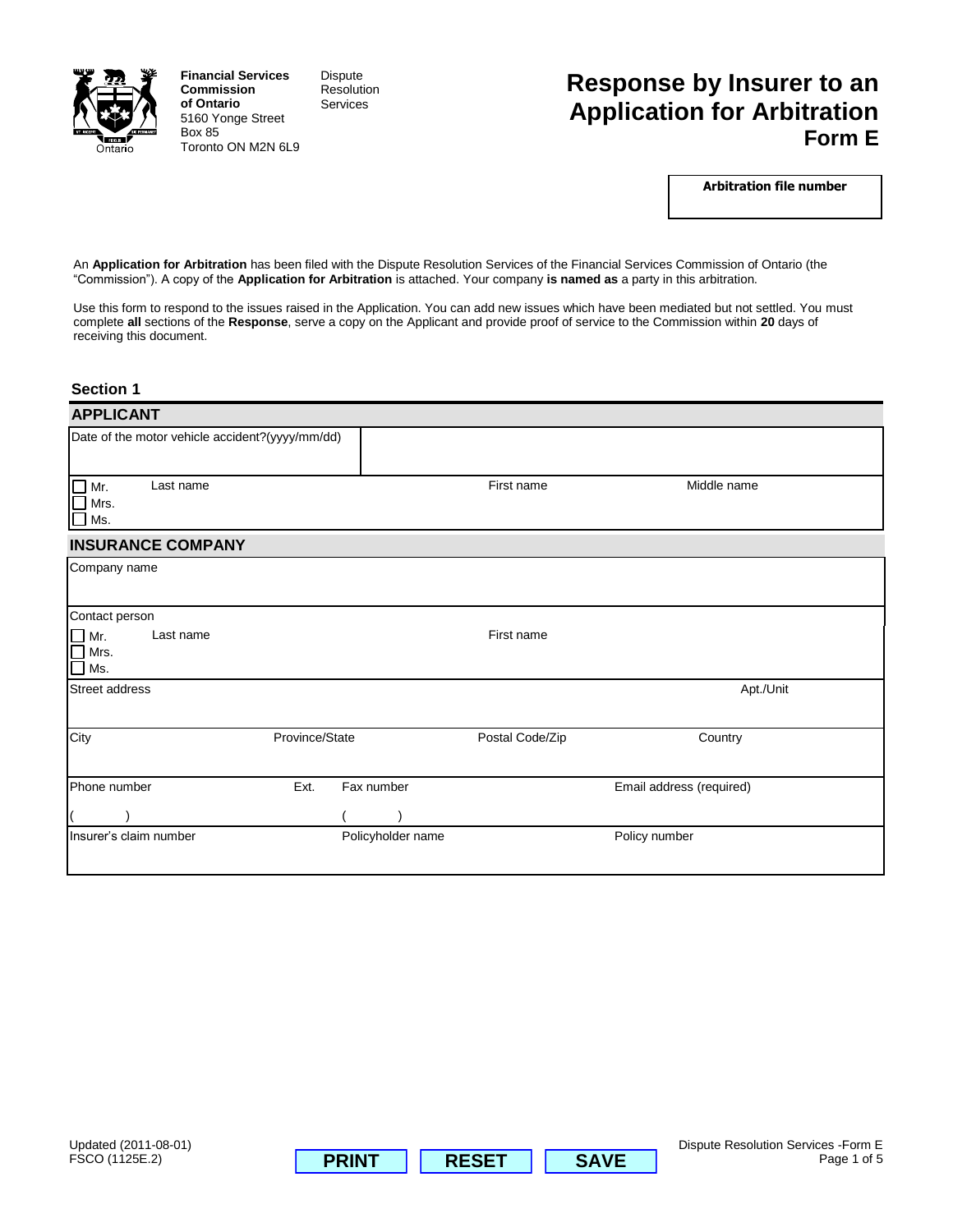

**Financial Services Commission of Ontario** 5160 Yonge Street Box 85 Toronto ON M2N 6L9 Dispute Resolution Services

# **Response by Insurer to an Application for Arbitration Form E**

**Arbitration file number**

An **Application for Arbitration** has been filed with the Dispute Resolution Services of the Financial Services Commission of Ontario (the "Commission"). A copy of the **Application for Arbitration** is attached. Your company **is named as** a party in this arbitration.

Use this form to respond to the issues raised in the Application. You can add new issues which have been mediated but not settled. You must complete **all** sections of the **Response**, serve a copy on the Applicant and provide proof of service to the Commission within **20** days of receiving this document.

#### **Section 1**

| <b>APPLICANT</b>                                        |                    |                   |                          |  |  |  |
|---------------------------------------------------------|--------------------|-------------------|--------------------------|--|--|--|
| Date of the motor vehicle accident?(yyyy/mm/dd)         |                    |                   |                          |  |  |  |
| Last name<br>Mr.<br>Mrs.<br>  Ms.                       |                    | First name        | Middle name              |  |  |  |
| <b>INSURANCE COMPANY</b>                                |                    |                   |                          |  |  |  |
| Company name                                            |                    |                   |                          |  |  |  |
| Contact person                                          |                    |                   |                          |  |  |  |
| Last name<br>$\Box$ Mr.<br>$\Box$ Mrs.<br>$\square$ Ms. |                    | First name        |                          |  |  |  |
| Street address                                          |                    |                   | Apt./Unit                |  |  |  |
| City                                                    | Province/State     | Postal Code/Zip   | Country                  |  |  |  |
| Phone number                                            | Ext.<br>Fax number |                   | Email address (required) |  |  |  |
|                                                         |                    |                   |                          |  |  |  |
| Insurer's claim number                                  |                    | Policyholder name | Policy number            |  |  |  |



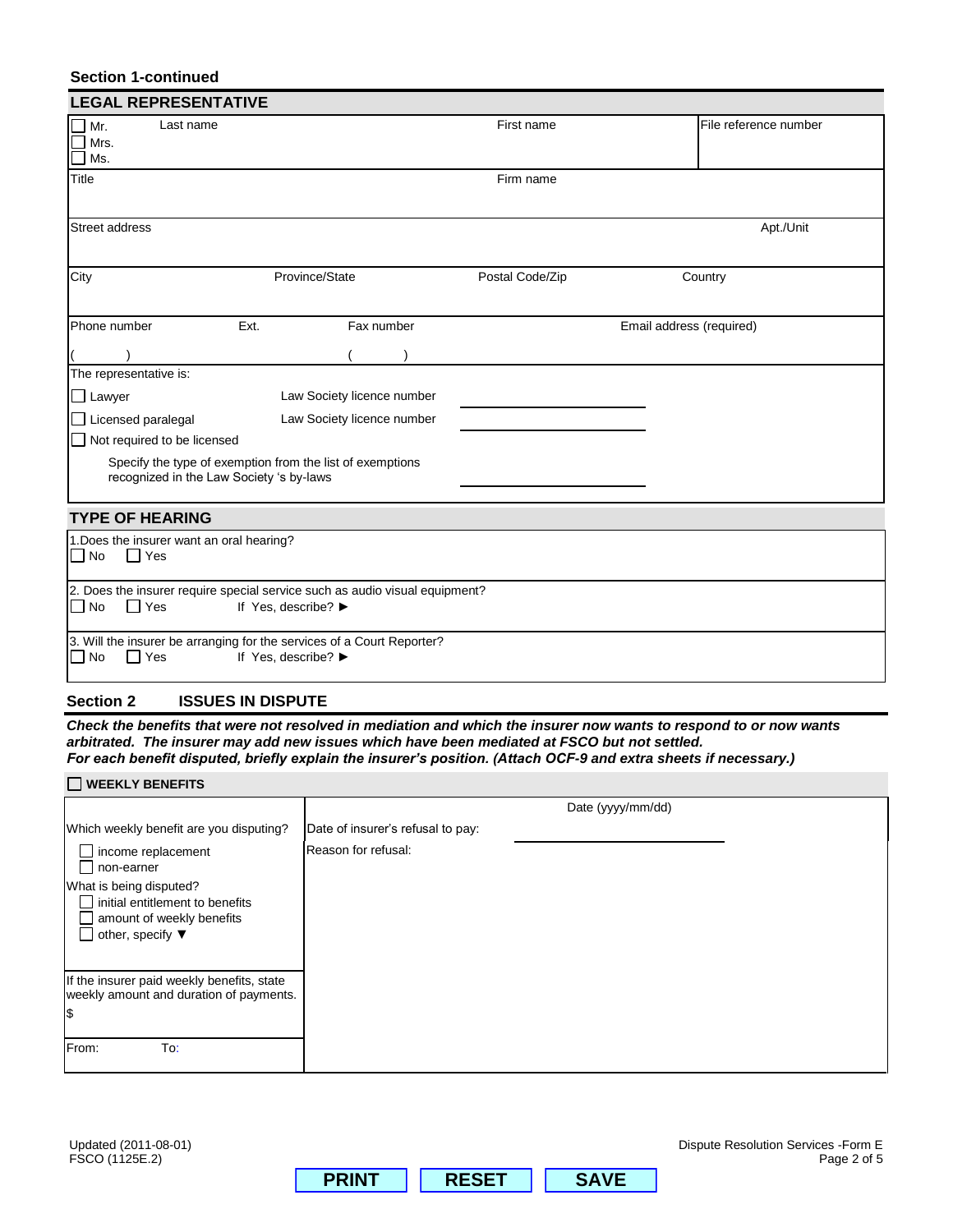# **Section 1-continued**

| <b>LEGAL REPRESENTATIVE</b>                                                                                            |                     |                            |                 |                          |                       |
|------------------------------------------------------------------------------------------------------------------------|---------------------|----------------------------|-----------------|--------------------------|-----------------------|
| Last name<br>Mr.<br>Mrs.<br>Ms.                                                                                        |                     |                            | First name      |                          | File reference number |
| Title                                                                                                                  |                     |                            | Firm name       |                          |                       |
| <b>Street address</b>                                                                                                  |                     |                            |                 |                          | Apt./Unit             |
| City                                                                                                                   |                     | Province/State             | Postal Code/Zip |                          | Country               |
| Phone number                                                                                                           | Ext.                | Fax number                 |                 | Email address (required) |                       |
|                                                                                                                        |                     |                            |                 |                          |                       |
| The representative is:                                                                                                 |                     |                            |                 |                          |                       |
| $\Box$ Lawyer                                                                                                          |                     | Law Society licence number |                 |                          |                       |
| $\Box$ Licensed paralegal<br>Law Society licence number                                                                |                     |                            |                 |                          |                       |
| $\Box$ Not required to be licensed                                                                                     |                     |                            |                 |                          |                       |
| Specify the type of exemption from the list of exemptions<br>recognized in the Law Society 's by-laws                  |                     |                            |                 |                          |                       |
| <b>TYPE OF HEARING</b>                                                                                                 |                     |                            |                 |                          |                       |
| 1. Does the insurer want an oral hearing?<br>  No<br>l Yes                                                             |                     |                            |                 |                          |                       |
| 2. Does the insurer require special service such as audio visual equipment?<br>$\Box$ No<br>Yes<br>If Yes, describe? ▶ |                     |                            |                 |                          |                       |
| 3. Will the insurer be arranging for the services of a Court Reporter?<br>$\Box$ No<br>l Yes                           | If Yes, describe? ▶ |                            |                 |                          |                       |

# **Section 2 ISSUES IN DISPUTE**

*Check the benefits that were not resolved in mediation and which the insurer now wants to respond to or now wants arbitrated. The insurer may add new issues which have been mediated at FSCO but not settled. For each benefit disputed, briefly explain the insurer's position. (Attach OCF-9 and extra sheets if necessary.)*

| <b>WEEKLY BENEFITS</b>                                                                                                         |                                   |  |  |  |  |
|--------------------------------------------------------------------------------------------------------------------------------|-----------------------------------|--|--|--|--|
|                                                                                                                                | Date (yyyy/mm/dd)                 |  |  |  |  |
| Which weekly benefit are you disputing?                                                                                        | Date of insurer's refusal to pay: |  |  |  |  |
| income replacement<br>non-earner                                                                                               | Reason for refusal:               |  |  |  |  |
| What is being disputed?<br>initial entitlement to benefits<br>amount of weekly benefits<br>other, specify $\blacktriangledown$ |                                   |  |  |  |  |
| If the insurer paid weekly benefits, state<br>weekly amount and duration of payments.<br>l\$                                   |                                   |  |  |  |  |
| From:<br>To:                                                                                                                   |                                   |  |  |  |  |

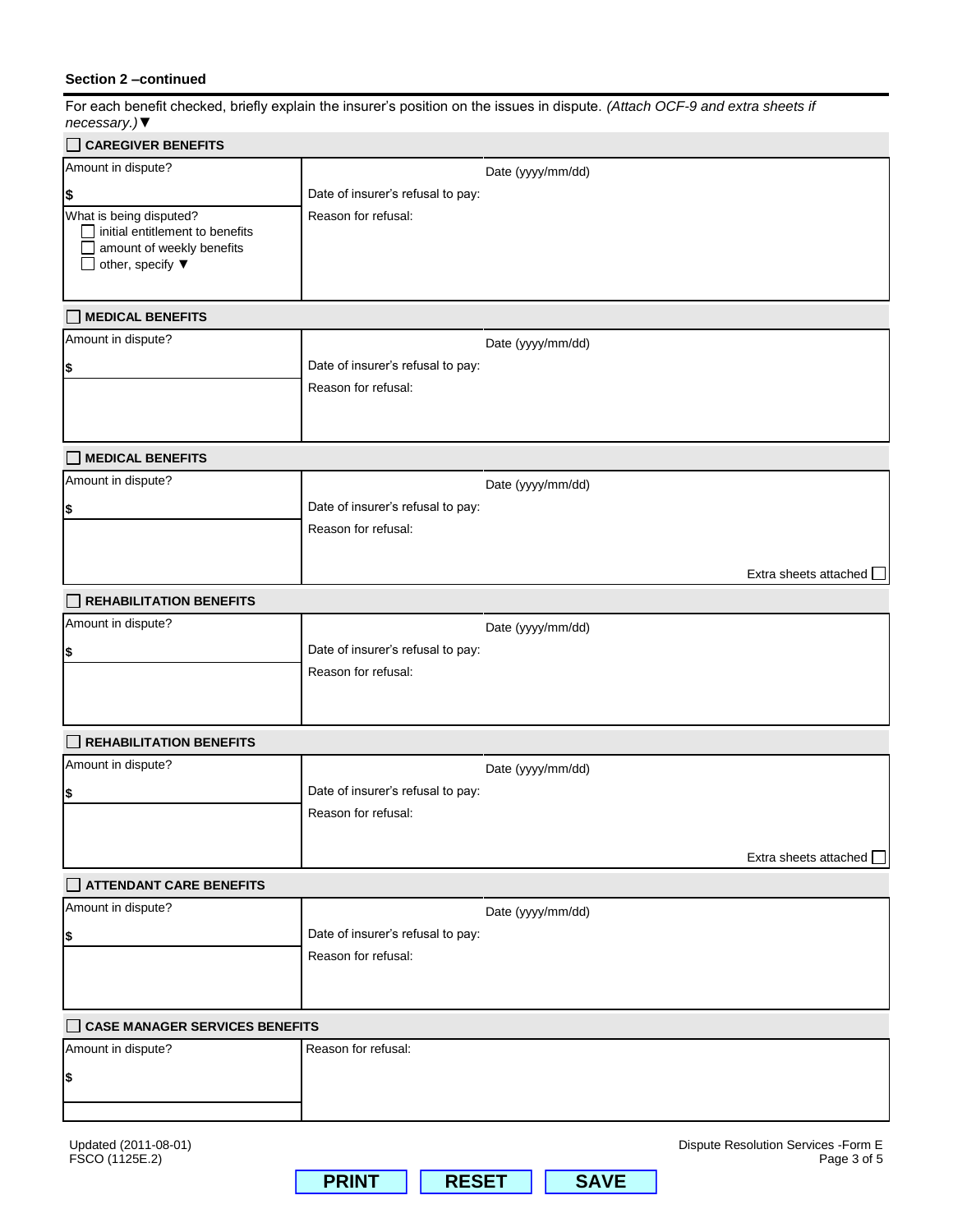# **Section 2 –continued**

For each benefit checked, briefly explain the insurer"s position on the issues in dispute. *(Attach OCF-9 and extra sheets if necessary.)▼*

| <b>CAREGIVER BENEFITS</b>                                                                                                             |                                   |                   |                                                     |
|---------------------------------------------------------------------------------------------------------------------------------------|-----------------------------------|-------------------|-----------------------------------------------------|
| Amount in dispute?                                                                                                                    |                                   | Date (yyyy/mm/dd) |                                                     |
| \$                                                                                                                                    | Date of insurer's refusal to pay: |                   |                                                     |
| What is being disputed?<br>$\Box$ initial entitlement to benefits<br>amount of weekly benefits<br>other, specify $\blacktriangledown$ | Reason for refusal:               |                   |                                                     |
| MEDICAL BENEFITS                                                                                                                      |                                   |                   |                                                     |
| Amount in dispute?                                                                                                                    |                                   | Date (yyyy/mm/dd) |                                                     |
| \$                                                                                                                                    | Date of insurer's refusal to pay: |                   |                                                     |
|                                                                                                                                       | Reason for refusal:               |                   |                                                     |
| $\Box$ MEDICAL BENEFITS                                                                                                               |                                   |                   |                                                     |
| Amount in dispute?                                                                                                                    |                                   | Date (yyyy/mm/dd) |                                                     |
| \$                                                                                                                                    | Date of insurer's refusal to pay: |                   |                                                     |
|                                                                                                                                       | Reason for refusal:               |                   |                                                     |
|                                                                                                                                       |                                   |                   |                                                     |
|                                                                                                                                       |                                   |                   | Extra sheets attached $\Box$                        |
| <b>REHABILITATION BENEFITS</b>                                                                                                        |                                   |                   |                                                     |
| Amount in dispute?                                                                                                                    |                                   | Date (yyyy/mm/dd) |                                                     |
| \$                                                                                                                                    | Date of insurer's refusal to pay: |                   |                                                     |
|                                                                                                                                       | Reason for refusal:               |                   |                                                     |
| <b>REHABILITATION BENEFITS</b>                                                                                                        |                                   |                   |                                                     |
| Amount in dispute?                                                                                                                    |                                   | Date (yyyy/mm/dd) |                                                     |
| \$                                                                                                                                    | Date of insurer's refusal to pay: |                   |                                                     |
|                                                                                                                                       | Reason for refusal:               |                   |                                                     |
|                                                                                                                                       |                                   |                   |                                                     |
|                                                                                                                                       |                                   |                   | Extra sheets attached                               |
| ATTENDANT CARE BENEFITS                                                                                                               |                                   |                   |                                                     |
| Amount in dispute?                                                                                                                    |                                   | Date (yyyy/mm/dd) |                                                     |
| \$                                                                                                                                    | Date of insurer's refusal to pay: |                   |                                                     |
|                                                                                                                                       | Reason for refusal:               |                   |                                                     |
|                                                                                                                                       |                                   |                   |                                                     |
| <b>CASE MANAGER SERVICES BENEFITS</b>                                                                                                 |                                   |                   |                                                     |
| Amount in dispute?                                                                                                                    | Reason for refusal:               |                   |                                                     |
| \$                                                                                                                                    |                                   |                   |                                                     |
|                                                                                                                                       |                                   |                   |                                                     |
| Updated (2011-08-01)<br>FSCO (1125E.2)                                                                                                |                                   |                   | Dispute Resolution Services - Form E<br>Page 3 of 5 |

**PRINT RESET SAVE**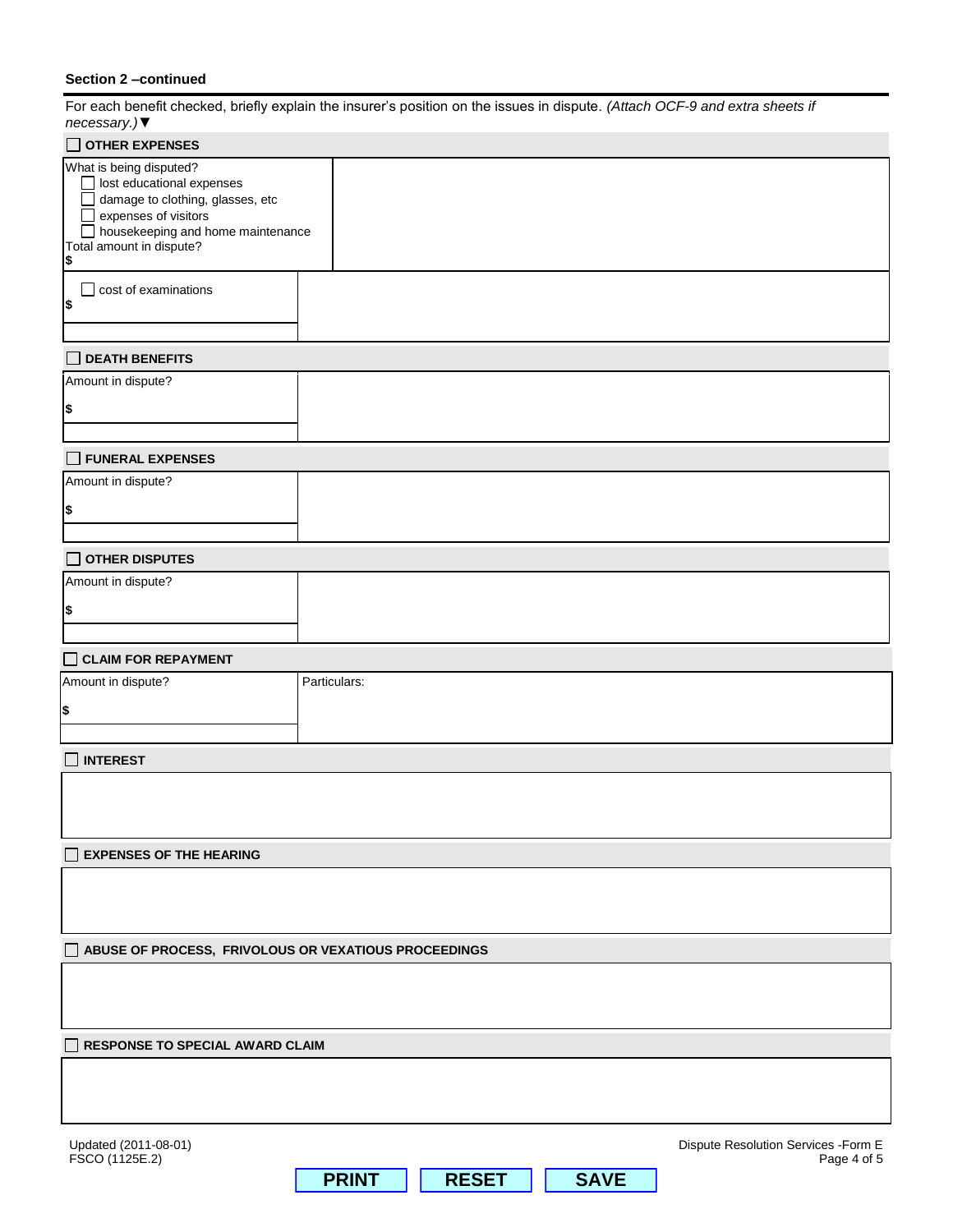# **Section 2 –continued**

For each benefit checked, briefly explain the insurer"s position on the issues in dispute. *(Attach OCF-9 and extra sheets if necessary.)▼*

| 100000000y.<br>$\Box$ OTHER EXPENSES                                                                                                                                                           |              |              |             |                                                     |  |
|------------------------------------------------------------------------------------------------------------------------------------------------------------------------------------------------|--------------|--------------|-------------|-----------------------------------------------------|--|
| What is being disputed?<br>$\Box$ lost educational expenses<br>damage to clothing, glasses, etc<br>expenses of visitors<br>housekeeping and home maintenance<br>Total amount in dispute?<br>\$ |              |              |             |                                                     |  |
| $\Box$ cost of examinations<br>\$                                                                                                                                                              |              |              |             |                                                     |  |
| $\Box$ DEATH BENEFITS                                                                                                                                                                          |              |              |             |                                                     |  |
| Amount in dispute?                                                                                                                                                                             |              |              |             |                                                     |  |
| \$                                                                                                                                                                                             |              |              |             |                                                     |  |
| FUNERAL EXPENSES                                                                                                                                                                               |              |              |             |                                                     |  |
| Amount in dispute?                                                                                                                                                                             |              |              |             |                                                     |  |
| \$                                                                                                                                                                                             |              |              |             |                                                     |  |
| $\Box$ OTHER DISPUTES                                                                                                                                                                          |              |              |             |                                                     |  |
| Amount in dispute?                                                                                                                                                                             |              |              |             |                                                     |  |
| \$                                                                                                                                                                                             |              |              |             |                                                     |  |
|                                                                                                                                                                                                |              |              |             |                                                     |  |
| $\Box$ CLAIM FOR REPAYMENT<br>Amount in dispute?                                                                                                                                               | Particulars: |              |             |                                                     |  |
| \$                                                                                                                                                                                             |              |              |             |                                                     |  |
| <b>INTEREST</b>                                                                                                                                                                                |              |              |             |                                                     |  |
|                                                                                                                                                                                                |              |              |             |                                                     |  |
| <b>EXPENSES OF THE HEARING</b>                                                                                                                                                                 |              |              |             |                                                     |  |
|                                                                                                                                                                                                |              |              |             |                                                     |  |
| ABUSE OF PROCESS, FRIVOLOUS OR VEXATIOUS PROCEEDINGS                                                                                                                                           |              |              |             |                                                     |  |
|                                                                                                                                                                                                |              |              |             |                                                     |  |
| RESPONSE TO SPECIAL AWARD CLAIM                                                                                                                                                                |              |              |             |                                                     |  |
|                                                                                                                                                                                                |              |              |             |                                                     |  |
| Updated (2011-08-01)<br>FSCO (1125E.2)                                                                                                                                                         |              |              |             | Dispute Resolution Services - Form E<br>Page 4 of 5 |  |
|                                                                                                                                                                                                | <b>PRINT</b> | <b>RESET</b> | <b>SAVE</b> |                                                     |  |